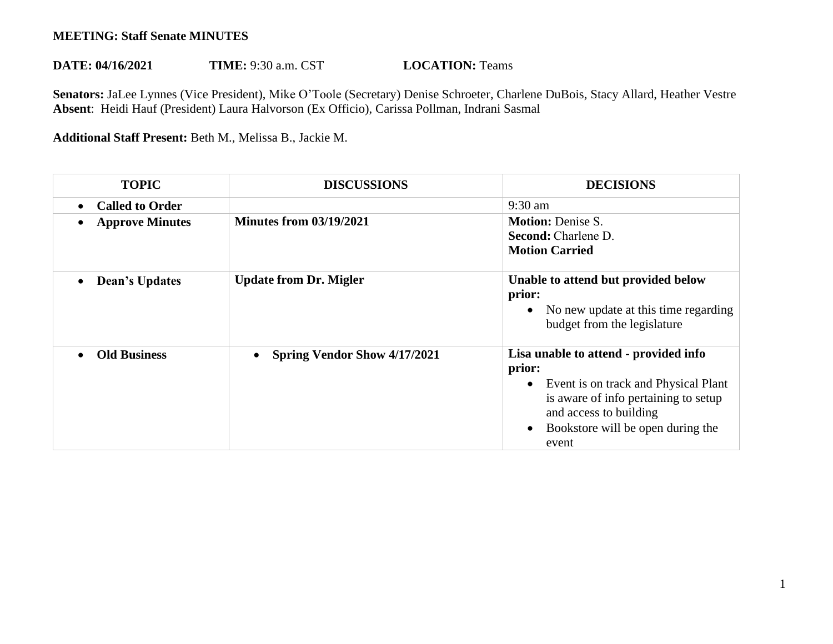## **MEETING: Staff Senate MINUTES**

## **DATE: 04/16/2021 TIME:** 9:30 a.m. CST **LOCATION:** Teams

**Senators:** JaLee Lynnes (Vice President), Mike O'Toole (Secretary) Denise Schroeter, Charlene DuBois, Stacy Allard, Heather Vestre **Absent**: Heidi Hauf (President) Laura Halvorson (Ex Officio), Carissa Pollman, Indrani Sasmal

**Additional Staff Present:** Beth M., Melissa B., Jackie M.

| <b>TOPIC</b>                        | <b>DISCUSSIONS</b>                  | <b>DECISIONS</b>                                                                                                                                                                                        |
|-------------------------------------|-------------------------------------|---------------------------------------------------------------------------------------------------------------------------------------------------------------------------------------------------------|
| <b>Called to Order</b><br>$\bullet$ |                                     | $9:30$ am                                                                                                                                                                                               |
| <b>Approve Minutes</b>              | <b>Minutes from 03/19/2021</b>      | <b>Motion: Denise S.</b><br><b>Second:</b> Charlene D.<br><b>Motion Carried</b>                                                                                                                         |
| <b>Dean's Updates</b><br>$\bullet$  | <b>Update from Dr. Migler</b>       | Unable to attend but provided below<br>prior:<br>No new update at this time regarding<br>budget from the legislature                                                                                    |
| <b>Old Business</b>                 | <b>Spring Vendor Show 4/17/2021</b> | Lisa unable to attend - provided info<br>prior:<br>Event is on track and Physical Plant<br>is aware of info pertaining to setup<br>and access to building<br>Bookstore will be open during the<br>event |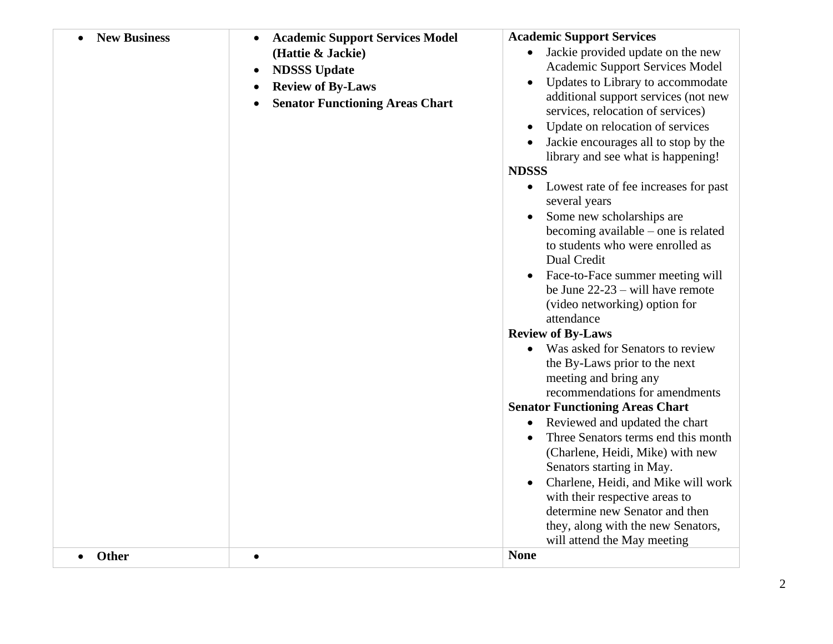| <b>New Business</b><br>Other | <b>Academic Support Services Model</b><br>$\bullet$<br>(Hattie & Jackie)<br><b>NDSSS Update</b><br>$\bullet$<br><b>Review of By-Laws</b><br>$\bullet$<br><b>Senator Functioning Areas Chart</b><br>$\bullet$<br>$\bullet$ | <b>Academic Support Services</b><br>Jackie provided update on the new<br>$\bullet$<br>Academic Support Services Model<br>Updates to Library to accommodate<br>additional support services (not new<br>services, relocation of services)<br>Update on relocation of services<br>Jackie encourages all to stop by the<br>library and see what is happening!<br><b>NDSSS</b><br>Lowest rate of fee increases for past<br>$\bullet$<br>several years<br>Some new scholarships are<br>$\bullet$<br>becoming available $-$ one is related<br>to students who were enrolled as<br>Dual Credit<br>Face-to-Face summer meeting will<br>$\bullet$<br>be June $22-23$ – will have remote<br>(video networking) option for<br>attendance<br><b>Review of By-Laws</b><br>• Was asked for Senators to review<br>the By-Laws prior to the next<br>meeting and bring any<br>recommendations for amendments<br><b>Senator Functioning Areas Chart</b><br>Reviewed and updated the chart<br>$\bullet$<br>Three Senators terms end this month<br>(Charlene, Heidi, Mike) with new<br>Senators starting in May.<br>Charlene, Heidi, and Mike will work<br>with their respective areas to<br>determine new Senator and then<br>they, along with the new Senators,<br>will attend the May meeting<br><b>None</b> |
|------------------------------|---------------------------------------------------------------------------------------------------------------------------------------------------------------------------------------------------------------------------|--------------------------------------------------------------------------------------------------------------------------------------------------------------------------------------------------------------------------------------------------------------------------------------------------------------------------------------------------------------------------------------------------------------------------------------------------------------------------------------------------------------------------------------------------------------------------------------------------------------------------------------------------------------------------------------------------------------------------------------------------------------------------------------------------------------------------------------------------------------------------------------------------------------------------------------------------------------------------------------------------------------------------------------------------------------------------------------------------------------------------------------------------------------------------------------------------------------------------------------------------------------------------------------------|
|                              |                                                                                                                                                                                                                           |                                                                                                                                                                                                                                                                                                                                                                                                                                                                                                                                                                                                                                                                                                                                                                                                                                                                                                                                                                                                                                                                                                                                                                                                                                                                                            |